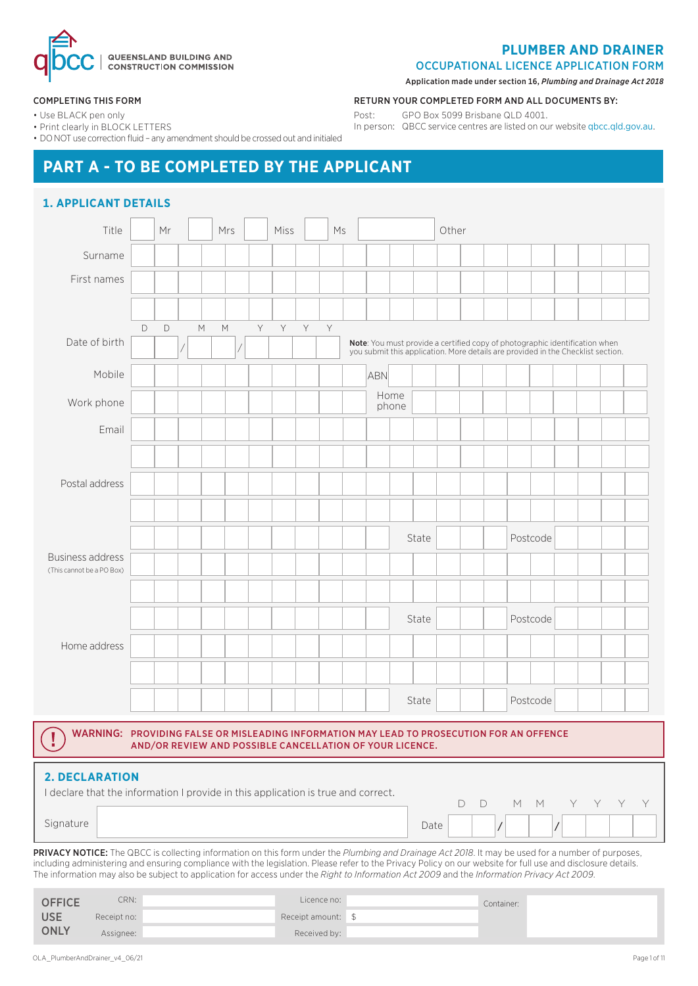

#### **PLUMBER AND DRAINER**

OCCUPATIONAL LICENCE APPLICATION FORM

Application made under section 16, *Plumbing and Drainage Act 2018*

RETURN YOUR COMPLETED FORM AND ALL DOCUMENTS BY:

In person: QBCC service centres are listed on our website qbcc.qld.gov.au.

Post: GPO Box 5099 Brisbane QLD 4001.

#### COMPLETING THIS FORM

• Use BLACK pen only

• Print clearly in BLOCK LETTERS

• DO NOT use correction fluid – any amendment should be crossed out and initialed

# **PART A - TO BE COMPLETED BY THE APPLICANT**

| Title                                                |             | Mr |   | Mrs |   | Miss |   | Ms |                                                                                                                                                                 |       | Other |  |          |          |  |  |
|------------------------------------------------------|-------------|----|---|-----|---|------|---|----|-----------------------------------------------------------------------------------------------------------------------------------------------------------------|-------|-------|--|----------|----------|--|--|
| Surname                                              |             |    |   |     |   |      |   |    |                                                                                                                                                                 |       |       |  |          |          |  |  |
| First names                                          |             |    |   |     |   |      |   |    |                                                                                                                                                                 |       |       |  |          |          |  |  |
|                                                      |             |    |   |     |   |      |   |    |                                                                                                                                                                 |       |       |  |          |          |  |  |
|                                                      | $\mathsf D$ | D  | M | М   | Y | Y    | Y | Y  |                                                                                                                                                                 |       |       |  |          |          |  |  |
| Date of birth                                        |             |    |   |     |   |      |   |    | Note: You must provide a certified copy of photographic identification when<br>you submit this application. More details are provided in the Checklist section. |       |       |  |          |          |  |  |
| Mobile                                               |             |    |   |     |   |      |   |    | ABN                                                                                                                                                             |       |       |  |          |          |  |  |
| Work phone                                           |             |    |   |     |   |      |   |    | Home<br>phone                                                                                                                                                   |       |       |  |          |          |  |  |
| Email                                                |             |    |   |     |   |      |   |    |                                                                                                                                                                 |       |       |  |          |          |  |  |
|                                                      |             |    |   |     |   |      |   |    |                                                                                                                                                                 |       |       |  |          |          |  |  |
| Postal address                                       |             |    |   |     |   |      |   |    |                                                                                                                                                                 |       |       |  |          |          |  |  |
|                                                      |             |    |   |     |   |      |   |    |                                                                                                                                                                 |       |       |  |          |          |  |  |
|                                                      |             |    |   |     |   |      |   |    |                                                                                                                                                                 | State |       |  |          | Postcode |  |  |
| <b>Business address</b><br>(This cannot be a PO Box) |             |    |   |     |   |      |   |    |                                                                                                                                                                 |       |       |  |          |          |  |  |
|                                                      |             |    |   |     |   |      |   |    |                                                                                                                                                                 |       |       |  |          |          |  |  |
|                                                      |             |    |   |     |   |      |   |    |                                                                                                                                                                 | State |       |  |          | Postcode |  |  |
| Home address                                         |             |    |   |     |   |      |   |    |                                                                                                                                                                 |       |       |  |          |          |  |  |
|                                                      |             |    |   |     |   |      |   |    |                                                                                                                                                                 |       |       |  |          |          |  |  |
|                                                      |             |    |   |     |   |      |   |    |                                                                                                                                                                 | State |       |  | Postcode |          |  |  |

| <b>2. DECLARATION</b><br>I declare that the information I provide in this application is true and correct. |       |            |  |  |  |
|------------------------------------------------------------------------------------------------------------|-------|------------|--|--|--|
| Signature                                                                                                  | Datei | DD MM YYYY |  |  |  |

PRIVACY NOTICE: The QBCC is collecting information on this form under the *Plumbing and Drainage Act 2018*. It may be used for a number of purposes, including administering and ensuring compliance with the legislation. Please refer to the Privacy Policy on our website for full use and disclosure details. The information may also be subject to application for access under the *Right to Information Act 2009* and the *Information Privacy Act 2009*.

| <b>OFFICE</b> | CRN:        | Licence no:        | Container: |  |
|---------------|-------------|--------------------|------------|--|
| <b>USE</b>    | Receipt no: | Receipt amount: \$ |            |  |
| <b>ONLY</b>   | Assignee:   | Received by:       |            |  |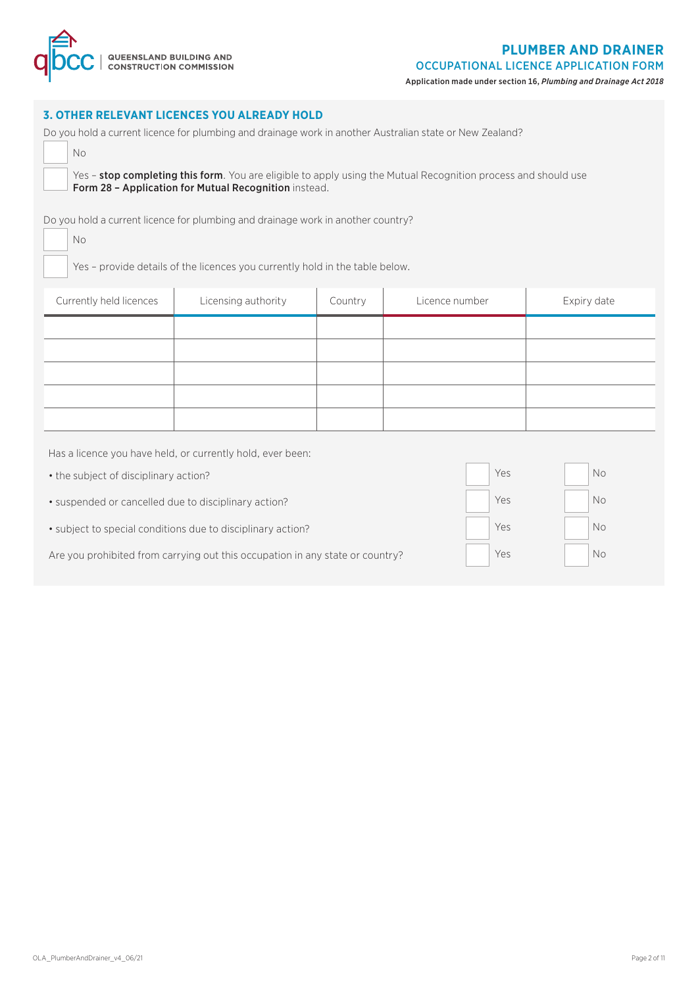

#### **3. OTHER RELEVANT LICENCES YOU ALREADY HOLD**

| Do you hold a current licence for plumbing and drainage work in another Australian state or New Zealand?                                                                |
|-------------------------------------------------------------------------------------------------------------------------------------------------------------------------|
| No.                                                                                                                                                                     |
| Yes – stop completing this form. You are eligible to apply using the Mutual Recognition process and should use<br>Form 28 - Application for Mutual Recognition instead. |
| Do you hold a current licence for plumbing and drainage work in another country?<br>No.                                                                                 |

Yes – provide details of the licences you currently hold in the table below.

| Currently held licences | Licensing authority | Country | Licence number | Expiry date |
|-------------------------|---------------------|---------|----------------|-------------|
|                         |                     |         |                |             |
|                         |                     |         |                |             |
|                         |                     |         |                |             |
|                         |                     |         |                |             |
|                         |                     |         |                |             |

Has a licence you have held, or currently hold, ever been:

| • the subject of disciplinary action?                                         | Yes | No. |
|-------------------------------------------------------------------------------|-----|-----|
| • suspended or cancelled due to disciplinary action?                          | Yes | No  |
| • subject to special conditions due to disciplinary action?                   | Yes | No  |
| Are you prohibited from carrying out this occupation in any state or country? | Yes | No  |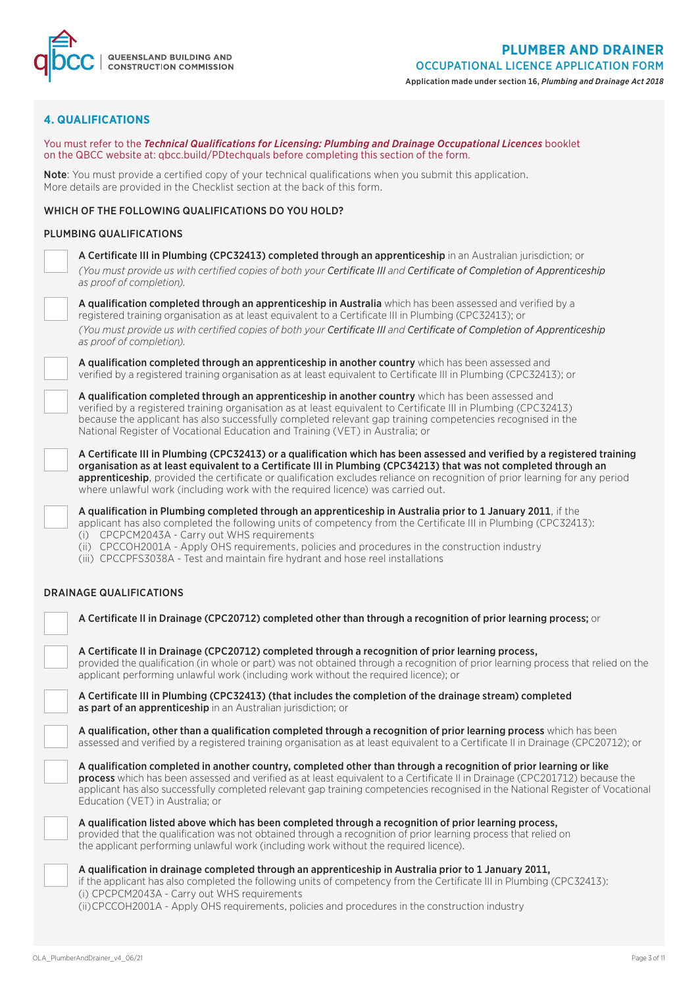

| <b>4. QUALIFICATIONS</b> |
|--------------------------|
|--------------------------|

Q | QUEENSLAND BUILDING AND

qbc

| You must refer to the Technical Qualifications for Licensing: Plumbing and Drainage Occupational Licences booklet<br>on the QBCC website at: qbcc.build/PDtechquals before completing this section of the form.                                                                                                                                                                                                                                                       |
|-----------------------------------------------------------------------------------------------------------------------------------------------------------------------------------------------------------------------------------------------------------------------------------------------------------------------------------------------------------------------------------------------------------------------------------------------------------------------|
| Note: You must provide a certified copy of your technical qualifications when you submit this application.<br>More details are provided in the Checklist section at the back of this form.                                                                                                                                                                                                                                                                            |
| WHICH OF THE FOLLOWING QUALIFICATIONS DO YOU HOLD?                                                                                                                                                                                                                                                                                                                                                                                                                    |
| PLUMBING QUALIFICATIONS                                                                                                                                                                                                                                                                                                                                                                                                                                               |
| A Certificate III in Plumbing (CPC32413) completed through an apprenticeship in an Australian jurisdiction; or<br>(You must provide us with certified copies of both your Certificate III and Certificate of Completion of Apprenticeship<br>as proof of completion).                                                                                                                                                                                                 |
| A qualification completed through an apprenticeship in Australia which has been assessed and verified by a<br>registered training organisation as at least equivalent to a Certificate III in Plumbing (CPC32413); or<br>(You must provide us with certified copies of both your Certificate III and Certificate of Completion of Apprenticeship<br>as proof of completion).                                                                                          |
| A qualification completed through an apprenticeship in another country which has been assessed and<br>verified by a registered training organisation as at least equivalent to Certificate III in Plumbing (CPC32413); or                                                                                                                                                                                                                                             |
| A qualification completed through an apprenticeship in another country which has been assessed and<br>verified by a registered training organisation as at least equivalent to Certificate III in Plumbing (CPC32413)<br>because the applicant has also successfully completed relevant gap training competencies recognised in the<br>National Register of Vocational Education and Training (VET) in Australia; or                                                  |
| A Certificate III in Plumbing (CPC32413) or a qualification which has been assessed and verified by a registered training<br>organisation as at least equivalent to a Certificate III in Plumbing (CPC34213) that was not completed through an<br>apprenticeship, provided the certificate or qualification excludes reliance on recognition of prior learning for any period<br>where unlawful work (including work with the required licence) was carried out.      |
| A qualification in Plumbing completed through an apprenticeship in Australia prior to 1 January 2011, if the<br>applicant has also completed the following units of competency from the Certificate III in Plumbing (CPC32413):<br>(i) CPCPCM2043A - Carry out WHS requirements<br>(ii) CPCCOH2001A - Apply OHS requirements, policies and procedures in the construction industry<br>(iii) CPCCPFS3038A - Test and maintain fire hydrant and hose reel installations |
| <b>DRAINAGE QUALIFICATIONS</b>                                                                                                                                                                                                                                                                                                                                                                                                                                        |
| A Certificate II in Drainage (CPC20712) completed other than through a recognition of prior learning process; or                                                                                                                                                                                                                                                                                                                                                      |
| A Certificate II in Drainage (CPC20712) completed through a recognition of prior learning process,<br>provided the qualification (in whole or part) was not obtained through a recognition of prior learning process that relied on the<br>applicant performing unlawful work (including work without the required licence); or                                                                                                                                       |
| A Certificate III in Plumbing (CPC32413) (that includes the completion of the drainage stream) completed<br>as part of an apprenticeship in an Australian jurisdiction; or                                                                                                                                                                                                                                                                                            |
| A qualification, other than a qualification completed through a recognition of prior learning process which has been<br>assessed and verified by a registered training organisation as at least equivalent to a Certificate II in Drainage (CPC20712); or                                                                                                                                                                                                             |
| A qualification completed in another country, completed other than through a recognition of prior learning or like<br>process which has been assessed and verified as at least equivalent to a Certificate II in Drainage (CPC201712) because the<br>applicant has also successfully completed relevant gap training competencies recognised in the National Register of Vocational<br>Education (VET) in Australia; or                                               |
| A qualification listed above which has been completed through a recognition of prior learning process,<br>provided that the qualification was not obtained through a recognition of prior learning process that relied on<br>the applicant performing unlawful work (including work without the required licence).                                                                                                                                                    |
| A qualification in drainage completed through an apprenticeship in Australia prior to 1 January 2011,<br>if the applicant has also completed the following units of competency from the Certificate III in Plumbing (CPC32413):<br>(i) CPCPCM2043A - Carry out WHS requirements<br>(ii) CPCCOH2001A - Apply OHS requirements, policies and procedures in the construction industry                                                                                    |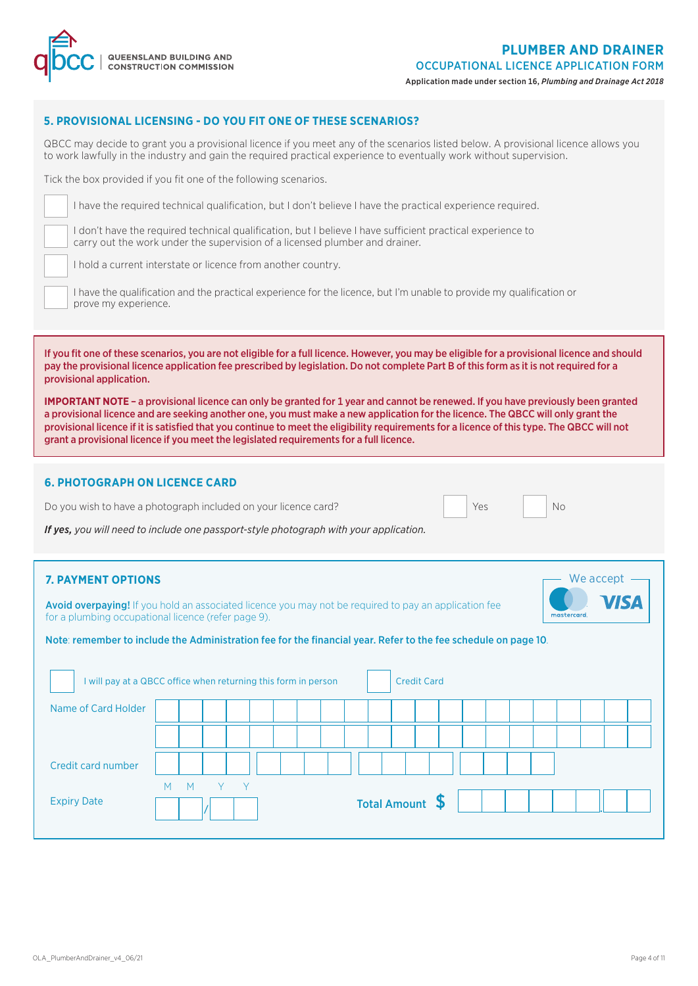

#### **5. PROVISIONAL LICENSING - DO YOU FIT ONE OF THESE SCENARIOS?**

QBCC may decide to grant you a provisional licence if you meet any of the scenarios listed below. A provisional licence allows you to work lawfully in the industry and gain the required practical experience to eventually work without supervision.

Tick the box provided if you fit one of the following scenarios.

I have the required technical qualification, but I don't believe I have the practical experience required.

I don't have the required technical qualification, but I believe I have sufficient practical experience to carry out the work under the supervision of a licensed plumber and drainer.

I hold a current interstate or licence from another country.

I have the qualification and the practical experience for the licence, but I'm unable to provide my qualification or prove my experience.

If you fit one of these scenarios, you are not eligible for a full licence. However, you may be eligible for a provisional licence and should pay the provisional licence application fee prescribed by legislation. Do not complete Part B of this form as it is not required for a provisional application.

**IMPORTANT NOTE** – a provisional licence can only be granted for 1 year and cannot be renewed. If you have previously been granted a provisional licence and are seeking another one, you must make a new application for the licence. The QBCC will only grant the provisional licence if it is satisfied that you continue to meet the eligibility requirements for a licence of this type. The QBCC will not grant a provisional licence if you meet the legislated requirements for a full licence.

#### **6. PHOTOGRAPH ON LICENCE CARD**

Do you wish to have a photograph included on your licence card? Yes

*If yes, you will need to include one passport-style photograph with your application.*

#### **7. PAYMENT OPTIONS** We accept

Avoid overpaying! If you hold an associated licence you may not be required to pay an application fee for a plumbing occupational licence (refer page 9).

No

Note: remember to include the Administration fee for the financial year. Refer to the fee schedule on page 10.

| I will pay at a QBCC office when returning this form in person |        |       |  |  |  |                 | <b>Credit Card</b> |  |  |  |  |  |
|----------------------------------------------------------------|--------|-------|--|--|--|-----------------|--------------------|--|--|--|--|--|
| Name of Card Holder                                            |        |       |  |  |  |                 |                    |  |  |  |  |  |
|                                                                |        |       |  |  |  |                 |                    |  |  |  |  |  |
| Credit card number                                             |        |       |  |  |  |                 |                    |  |  |  |  |  |
| <b>Expiry Date</b>                                             | M<br>M | $Y$ Y |  |  |  | Total Amount \$ |                    |  |  |  |  |  |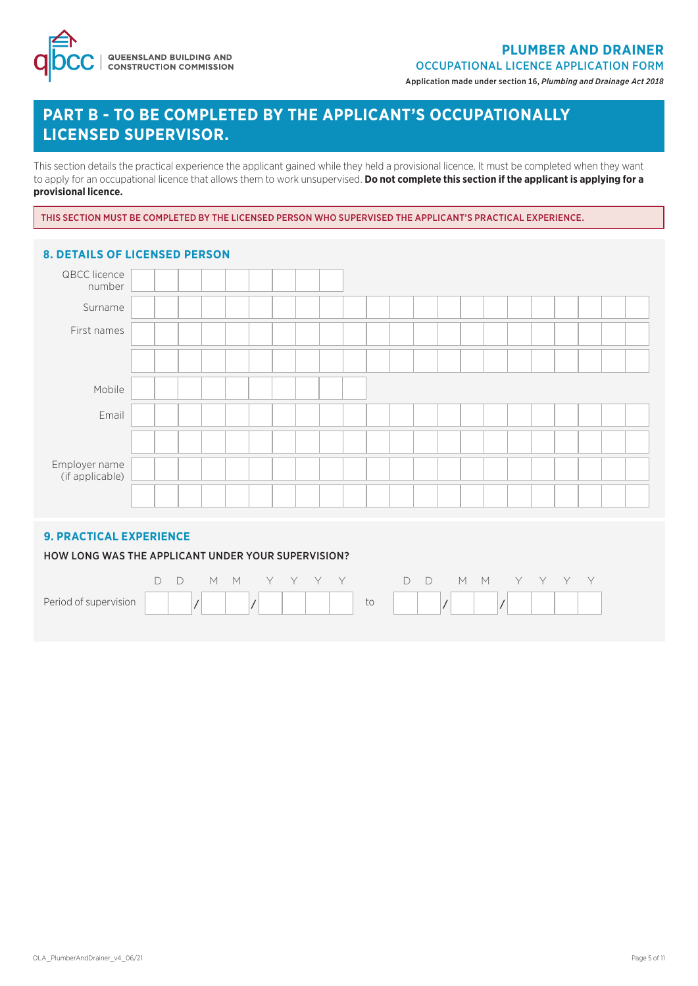| QUEENSLAND BUILDING AND<br>| CONSTRUCTION COMMISSION

OCCUPATIONAL LICENCE APPLICATION FORM

Application made under section 16, *Plumbing and Drainage Act 2018*

## **PART B - TO BE COMPLETED BY THE APPLICANT'S OCCUPATIONALLY LICENSED SUPERVISOR.**

This section details the practical experience the applicant gained while they held a provisional licence. It must be completed when they want to apply for an occupational licence that allows them to work unsupervised. **Do not complete this section if the applicant is applying for a provisional licence.**

THIS SECTION MUST BE COMPLETED BY THE LICENSED PERSON WHO SUPERVISED THE APPLICANT'S PRACTICAL EXPERIENCE.

| <b>8. DETAILS OF LICENSED PERSON</b> |  |  |  |  |  |  |  |  |  |  |  |
|--------------------------------------|--|--|--|--|--|--|--|--|--|--|--|
| QBCC licence<br>number               |  |  |  |  |  |  |  |  |  |  |  |
| Surname                              |  |  |  |  |  |  |  |  |  |  |  |
| First names                          |  |  |  |  |  |  |  |  |  |  |  |
|                                      |  |  |  |  |  |  |  |  |  |  |  |
| Mobile                               |  |  |  |  |  |  |  |  |  |  |  |
| Email                                |  |  |  |  |  |  |  |  |  |  |  |
|                                      |  |  |  |  |  |  |  |  |  |  |  |
| Employer name<br>(if applicable)     |  |  |  |  |  |  |  |  |  |  |  |
|                                      |  |  |  |  |  |  |  |  |  |  |  |

#### **9. PRACTICAL EXPERIENCE**

#### HOW LONG WAS THE APPLICANT UNDER YOUR SUPERVISION?

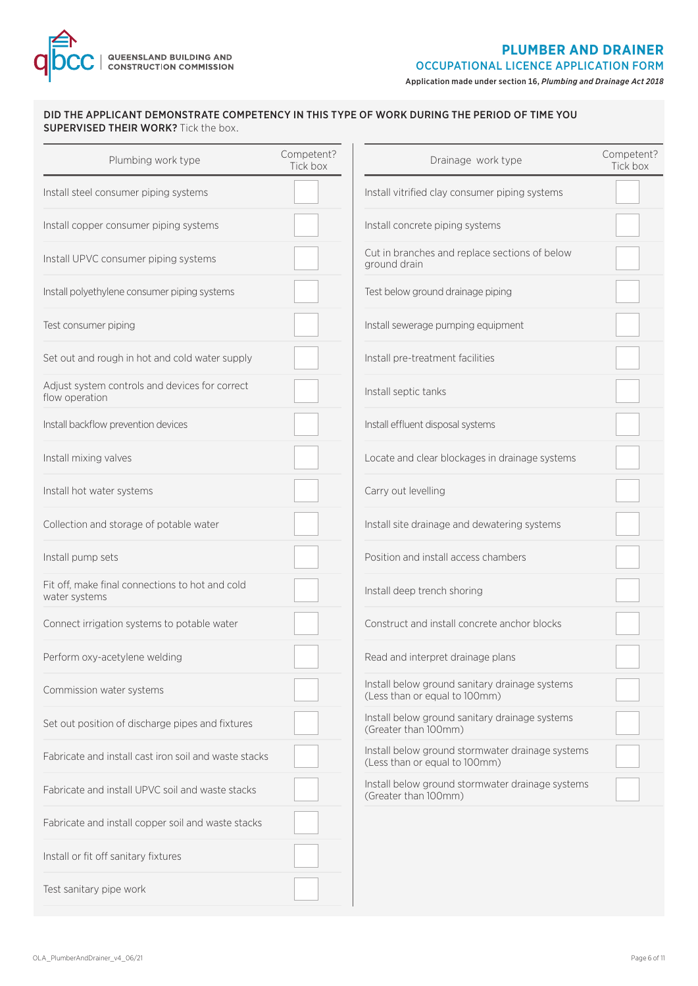

Application made under section 16, *Plumbing and Drainage Act 2018*

#### DID THE APPLICANT DEMONSTRATE COMPETENCY IN THIS TYPE OF WORK DURING THE PERIOD OF TIME YOU SUPERVISED THEIR WORK? Tick the box.

| Plumbing work type                                               | Competent?<br>Tick box | Drainage work type                                                                | Competent?<br>Tick box |
|------------------------------------------------------------------|------------------------|-----------------------------------------------------------------------------------|------------------------|
| Install steel consumer piping systems                            |                        | Install vitrified clay consumer piping systems                                    |                        |
| Install copper consumer piping systems                           |                        | Install concrete piping systems                                                   |                        |
| Install UPVC consumer piping systems                             |                        | Cut in branches and replace sections of below<br>ground drain                     |                        |
| Install polyethylene consumer piping systems                     |                        | Test below ground drainage piping                                                 |                        |
| Test consumer piping                                             |                        | Install sewerage pumping equipment                                                |                        |
| Set out and rough in hot and cold water supply                   |                        | Install pre-treatment facilities                                                  |                        |
| Adjust system controls and devices for correct<br>flow operation |                        | Install septic tanks                                                              |                        |
| Install backflow prevention devices                              |                        | Install effluent disposal systems                                                 |                        |
| Install mixing valves                                            |                        | Locate and clear blockages in drainage systems                                    |                        |
| Install hot water systems                                        |                        | Carry out levelling                                                               |                        |
| Collection and storage of potable water                          |                        | Install site drainage and dewatering systems                                      |                        |
| Install pump sets                                                |                        | Position and install access chambers                                              |                        |
| Fit off, make final connections to hot and cold<br>water systems |                        | Install deep trench shoring                                                       |                        |
| Connect irrigation systems to potable water                      |                        | Construct and install concrete anchor blocks                                      |                        |
| Perform oxy-acetylene welding                                    |                        | Read and interpret drainage plans                                                 |                        |
| Commission water systems                                         |                        | Install below ground sanitary drainage systems<br>(Less than or equal to 100mm)   |                        |
| Set out position of discharge pipes and fixtures                 |                        | Install below ground sanitary drainage systems<br>(Greater than 100mm)            |                        |
| Fabricate and install cast iron soil and waste stacks            |                        | Install below ground stormwater drainage systems<br>(Less than or equal to 100mm) |                        |
| Fabricate and install UPVC soil and waste stacks                 |                        | Install below ground stormwater drainage systems<br>(Greater than 100mm)          |                        |
| Fabricate and install copper soil and waste stacks               |                        |                                                                                   |                        |
| Install or fit off sanitary fixtures                             |                        |                                                                                   |                        |
| Test sanitary pipe work                                          |                        |                                                                                   |                        |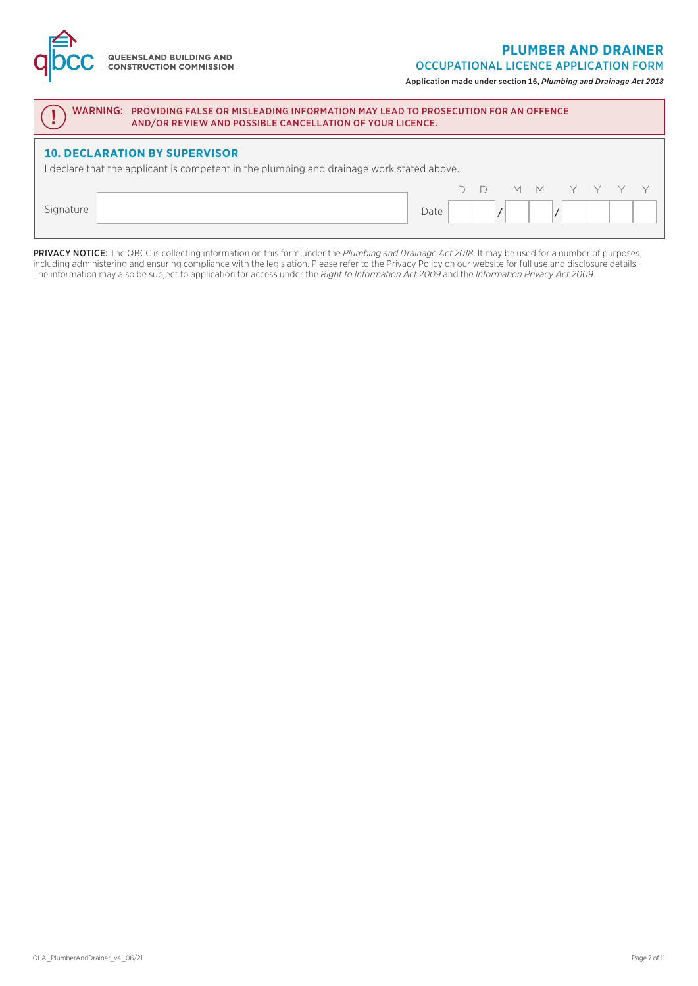#### **PLUMBER AND DRAINER**

OCCUPATIONAL LICENCE APPLICATION FORM

Application made under section 16, *Plumbing and Drainage Act 2018*

| WARNING: PROVIDING FALSE OR MISLEADING INFORMATION MAY LEAD TO PROSECUTION FOR AN OFFENCE<br>AND/OR REVIEW AND POSSIBLE CANCELLATION OF YOUR LICENCE. |      |  |  |  |  |  |  |
|-------------------------------------------------------------------------------------------------------------------------------------------------------|------|--|--|--|--|--|--|
| <b>10. DECLARATION BY SUPERVISOR</b><br>I declare that the applicant is competent in the plumbing and drainage work stated above.                     |      |  |  |  |  |  |  |
| Signature                                                                                                                                             | Date |  |  |  |  |  |  |

**QUEENSLAND BUILDING AND<br>CONSTRUCTION COMMISSION** 

PRIVACY NOTICE: The QBCC is collecting information on this form under the *Plumbing and Drainage Act 2018*. It may be used for a number of purposes, including administering and ensuring compliance with the legislation. Please refer to the Privacy Policy on our website for full use and disclosure details. The information may also be subject to application for access under the *Right to Information Act 2009* and the *Information Privacy Act 2009*.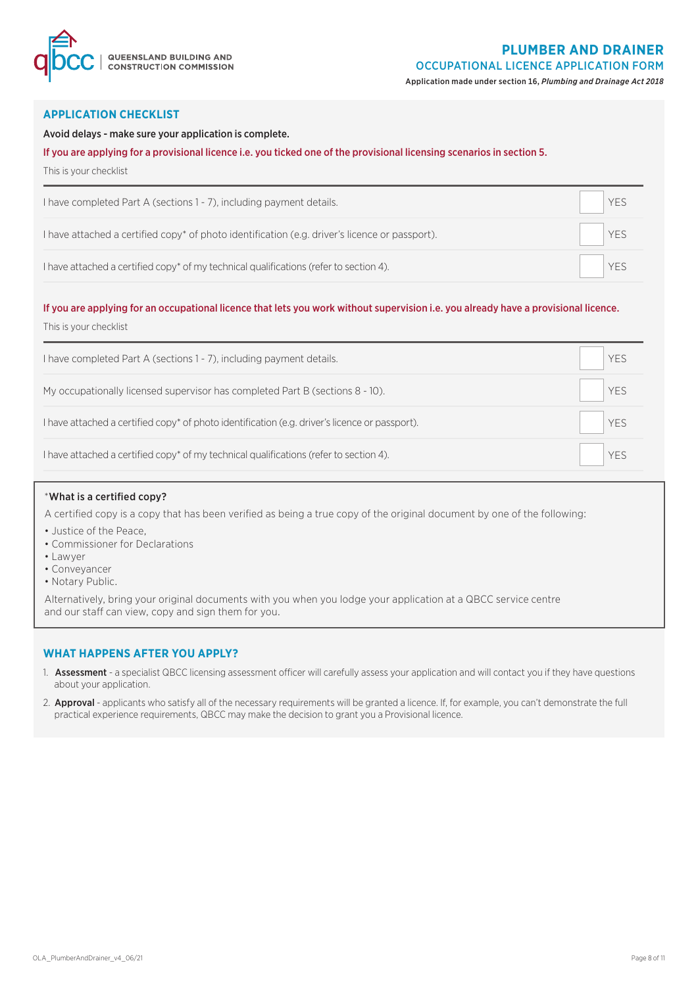

Application made under section 16, *Plumbing and Drainage Act 2018*

#### **APPLICATION CHECKLIST**

#### Avoid delays - make sure your application is complete.

#### If you are applying for a provisional licence i.e. you ticked one of the provisional licensing scenarios in section 5.

This is your checklist

| I have completed Part A (sections 1 - 7), including payment details.                                       | YES |
|------------------------------------------------------------------------------------------------------------|-----|
| I have attached a certified copy <sup>*</sup> of photo identification (e.g. driver's licence or passport). | YES |
| I have attached a certified copy* of my technical qualifications (refer to section 4).                     | YES |

#### If you are applying for an occupational licence that lets you work without supervision i.e. you already have a provisional licence.

This is your checklist

| I have completed Part A (sections 1 - 7), including payment details.                           | YES         |  |
|------------------------------------------------------------------------------------------------|-------------|--|
| My occupationally licensed supervisor has completed Part B (sections 8 - 10).                  | $\vert$ YES |  |
| I have attached a certified copy* of photo identification (e.g. driver's licence or passport). | YES         |  |
| I have attached a certified copy* of my technical qualifications (refer to section 4).         | YES         |  |

#### \*What is a certified copy?

A certified copy is a copy that has been verified as being a true copy of the original document by one of the following:

- Justice of the Peace,
- Commissioner for Declarations
- Lawyer
- Conveyancer
- Notary Public.

Alternatively, bring your original documents with you when you lodge your application at a QBCC service centre and our staff can view, copy and sign them for you.

#### **WHAT HAPPENS AFTER YOU APPLY?**

- 1. Assessment a specialist QBCC licensing assessment officer will carefully assess your application and will contact you if they have questions about your application.
- 2. Approval applicants who satisfy all of the necessary requirements will be granted a licence. If, for example, you can't demonstrate the full practical experience requirements, QBCC may make the decision to grant you a Provisional licence.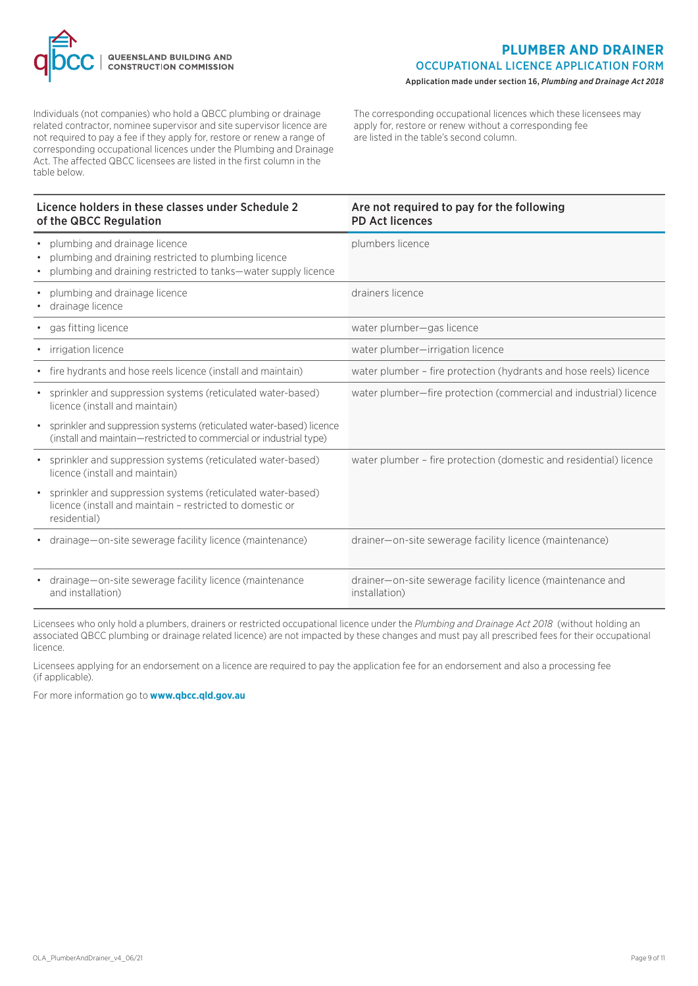

Individuals (not companies) who hold a QBCC plumbing or drainage related contractor, nominee supervisor and site supervisor licence are not required to pay a fee if they apply for, restore or renew a range of corresponding occupational licences under the Plumbing and Drainage Act. The affected QBCC licensees are listed in the first column in the table below.

The corresponding occupational licences which these licensees may apply for, restore or renew without a corresponding fee are listed in the table's second column.

| Licence holders in these classes under Schedule 2<br>of the QBCC Regulation                                                                                            | Are not required to pay for the following<br><b>PD Act licences</b>         |
|------------------------------------------------------------------------------------------------------------------------------------------------------------------------|-----------------------------------------------------------------------------|
| • plumbing and drainage licence<br>plumbing and draining restricted to plumbing licence<br>$\bullet$<br>plumbing and draining restricted to tanks—water supply licence | plumbers licence                                                            |
| plumbing and drainage licence<br>$\bullet$<br>drainage licence<br>$\bullet$                                                                                            | drainers licence                                                            |
| gas fitting licence<br>$\bullet$                                                                                                                                       | water plumber-gas licence                                                   |
| • irrigation licence                                                                                                                                                   | water plumber-irrigation licence                                            |
| • fire hydrants and hose reels licence (install and maintain)                                                                                                          | water plumber - fire protection (hydrants and hose reels) licence           |
| • sprinkler and suppression systems (reticulated water-based)<br>licence (install and maintain)                                                                        | water plumber-fire protection (commercial and industrial) licence           |
| sprinkler and suppression systems (reticulated water-based) licence<br>$\bullet$<br>(install and maintain-restricted to commercial or industrial type)                 |                                                                             |
| sprinkler and suppression systems (reticulated water-based)<br>licence (install and maintain)                                                                          | water plumber - fire protection (domestic and residential) licence          |
| sprinkler and suppression systems (reticulated water-based)<br>$\bullet$<br>licence (install and maintain - restricted to domestic or<br>residential)                  |                                                                             |
| drainage—on-site sewerage facility licence (maintenance)                                                                                                               | drainer-on-site sewerage facility licence (maintenance)                     |
| • drainage—on-site sewerage facility licence (maintenance<br>and installation)                                                                                         | drainer-on-site sewerage facility licence (maintenance and<br>installation) |

Licensees who only hold a plumbers, drainers or restricted occupational licence under the *Plumbing and Drainage Act 2018* (without holding an associated QBCC plumbing or drainage related licence) are not impacted by these changes and must pay all prescribed fees for their occupational licence.

Licensees applying for an endorsement on a licence are required to pay the application fee for an endorsement and also a processing fee (if applicable).

For more information go to **www.qbcc.qld.gov.au**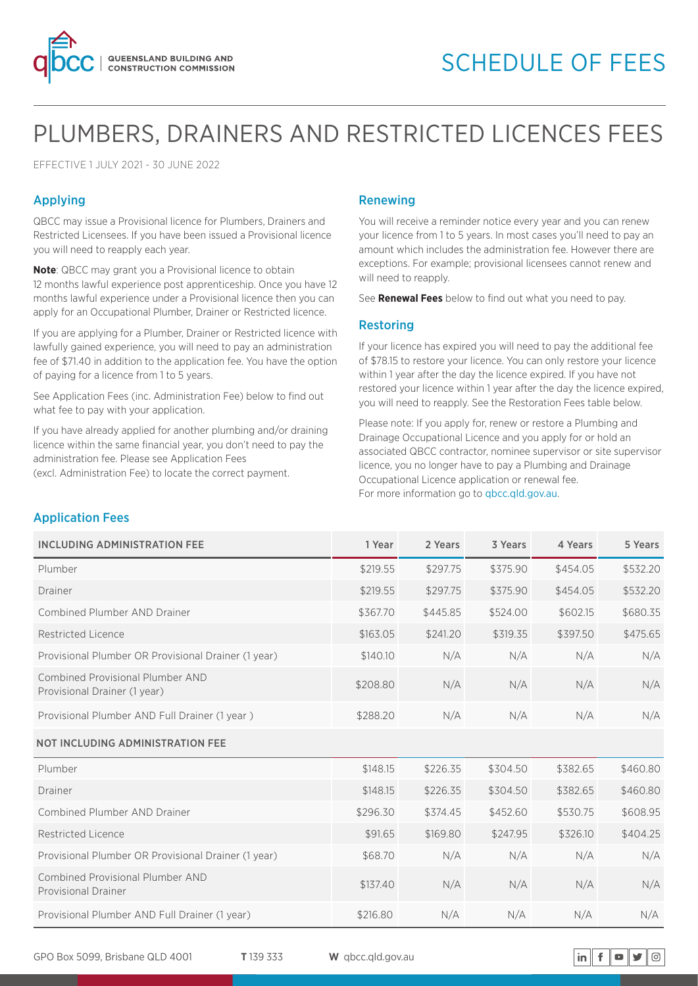

# PLUMBERS, DRAINERS AND RESTRICTED LICENCES FEES

EFFECTIVE 1 JULY 2021 - 30 JUNE 2022

#### Applying

QBCC may issue a Provisional licence for Plumbers, Drainers and Restricted Licensees. If you have been issued a Provisional licence you will need to reapply each year.

**Note**: QBCC may grant you a Provisional licence to obtain 12 months lawful experience post apprenticeship. Once you have 12 months lawful experience under a Provisional licence then you can apply for an Occupational Plumber, Drainer or Restricted licence.

If you are applying for a Plumber, Drainer or Restricted licence with lawfully gained experience, you will need to pay an administration fee of \$71.40 in addition to the application fee. You have the option of paying for a licence from 1 to 5 years.

See Application Fees (inc. Administration Fee) below to find out what fee to pay with your application.

If you have already applied for another plumbing and/or draining licence within the same financial year, you don't need to pay the administration fee. Please see Application Fees (excl. Administration Fee) to locate the correct payment.

#### Renewing

You will receive a reminder notice every year and you can renew your licence from 1 to 5 years. In most cases you'll need to pay an amount which includes the administration fee. However there are exceptions. For example; provisional licensees cannot renew and will need to reapply.

See **Renewal Fees** below to find out what you need to pay.

#### Restoring

If your licence has expired you will need to pay the additional fee of \$78.15 to restore your licence. You can only restore your licence within 1 year after the day the licence expired. If you have not restored your licence within 1 year after the day the licence expired, you will need to reapply. See the Restoration Fees table below.

Please note: If you apply for, renew or restore a Plumbing and Drainage Occupational Licence and you apply for or hold an associated QBCC contractor, nominee supervisor or site supervisor licence, you no longer have to pay a Plumbing and Drainage Occupational Licence application or renewal fee. For more information go to abcc.ald.gov.au.

#### Application Fees

| <b>INCLUDING ADMINISTRATION FEE</b>                              | 1 Year   | 2 Years  | 3 Years  | 4 Years  | 5 Years  |
|------------------------------------------------------------------|----------|----------|----------|----------|----------|
| Plumber                                                          | \$219.55 | \$297.75 | \$375.90 | \$454.05 | \$532.20 |
| Drainer                                                          | \$219.55 | \$297.75 | \$375.90 | \$454.05 | \$532.20 |
| Combined Plumber AND Drainer                                     | \$367.70 | \$445.85 | \$524.00 | \$602.15 | \$680.35 |
| Restricted Licence                                               | \$163.05 | \$241.20 | \$319.35 | \$397.50 | \$475.65 |
| Provisional Plumber OR Provisional Drainer (1 year)              | \$140.10 | N/A      | N/A      | N/A      | N/A      |
| Combined Provisional Plumber AND<br>Provisional Drainer (1 year) | \$208.80 | N/A      | N/A      | N/A      | N/A      |
| Provisional Plumber AND Full Drainer (1 year)                    | \$288.20 | N/A      | N/A      | N/A      | N/A      |
| NOT INCLUDING ADMINISTRATION FEE                                 |          |          |          |          |          |
| Plumber                                                          | \$148.15 | \$226.35 | \$304.50 | \$382.65 | \$460.80 |
| Drainer                                                          | \$148.15 | \$226.35 | \$304.50 | \$382.65 | \$460.80 |
| Combined Plumber AND Drainer                                     | \$296.30 | \$374.45 | \$452.60 | \$530.75 | \$608.95 |
| Restricted Licence                                               | \$91.65  | \$169.80 | \$247.95 | \$326.10 | \$404.25 |
| Provisional Plumber OR Provisional Drainer (1 year)              | \$68.70  | N/A      | N/A      | N/A      | N/A      |
| Combined Provisional Plumber AND<br><b>Provisional Drainer</b>   | \$137.40 | N/A      | N/A      | N/A      | N/A      |
| Provisional Plumber AND Full Drainer (1 year)                    | \$216.80 | N/A      | N/A      | N/A      | N/A      |

GPO Box 5099, Brisbane QLD 4001 **T** 139 333 **W** qbcc.qld.gov.au

$$
\mathsf{in} \parallel \mathbf{f} \parallel \mathbf{o} \parallel \mathbf{y} \parallel \text{on}
$$